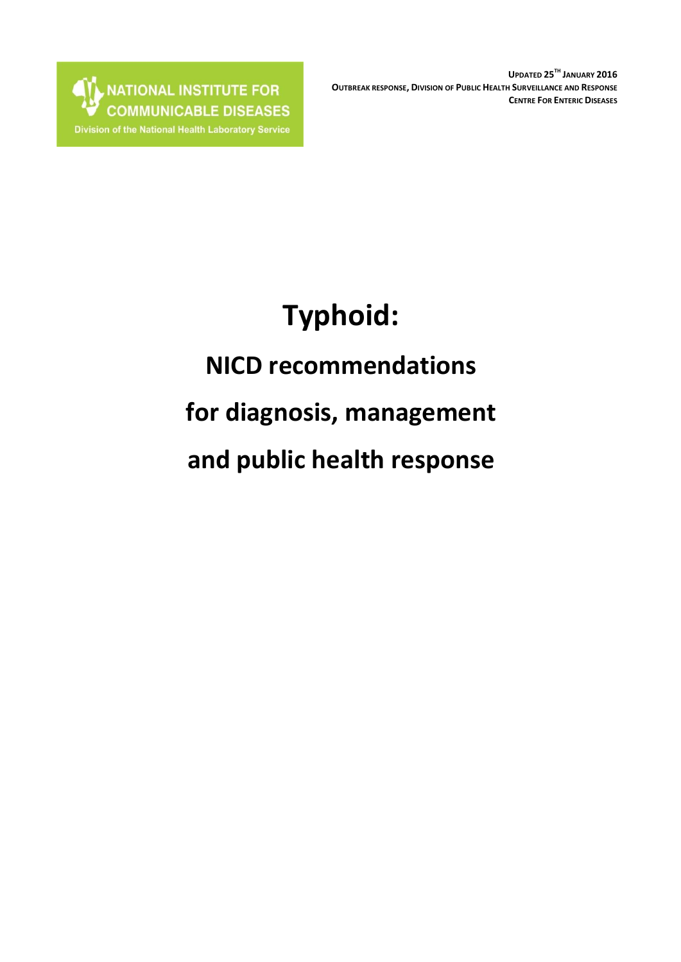NATIONAL INSTITUTE FOR **AT** Division of the National Health Laboratory Service

**UPDATED 25TH JANUARY 2016 OUTBREAK RESPONSE, DIVISION OF PUBLIC HEALTH SURVEILLANCE AND RESPONSE CENTRE FOR ENTERIC DISEASES**

# **Typhoid:**

## **NICD recommendations**

## **for diagnosis, management**

**and public health response**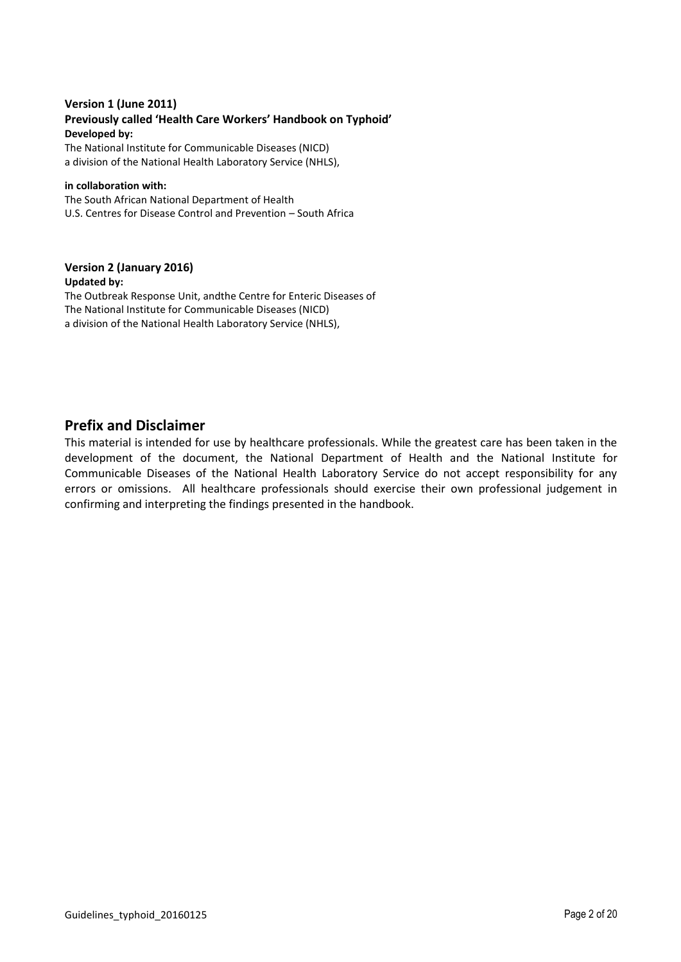#### **Version 1 (June 2011) Previously called 'Health Care Workers' Handbook on Typhoid' Developed by:**

The National Institute for Communicable Diseases (NICD) a division of the National Health Laboratory Service (NHLS),

#### **in collaboration with:**

The South African National Department of Health U.S. Centres for Disease Control and Prevention – South Africa

#### **Version 2 (January 2016) Updated by:**

The Outbreak Response Unit, andthe Centre for Enteric Diseases of The National Institute for Communicable Diseases (NICD) a division of the National Health Laboratory Service (NHLS),

### **Prefix and Disclaimer**

This material is intended for use by healthcare professionals. While the greatest care has been taken in the development of the document, the National Department of Health and the National Institute for Communicable Diseases of the National Health Laboratory Service do not accept responsibility for any errors or omissions. All healthcare professionals should exercise their own professional judgement in confirming and interpreting the findings presented in the handbook.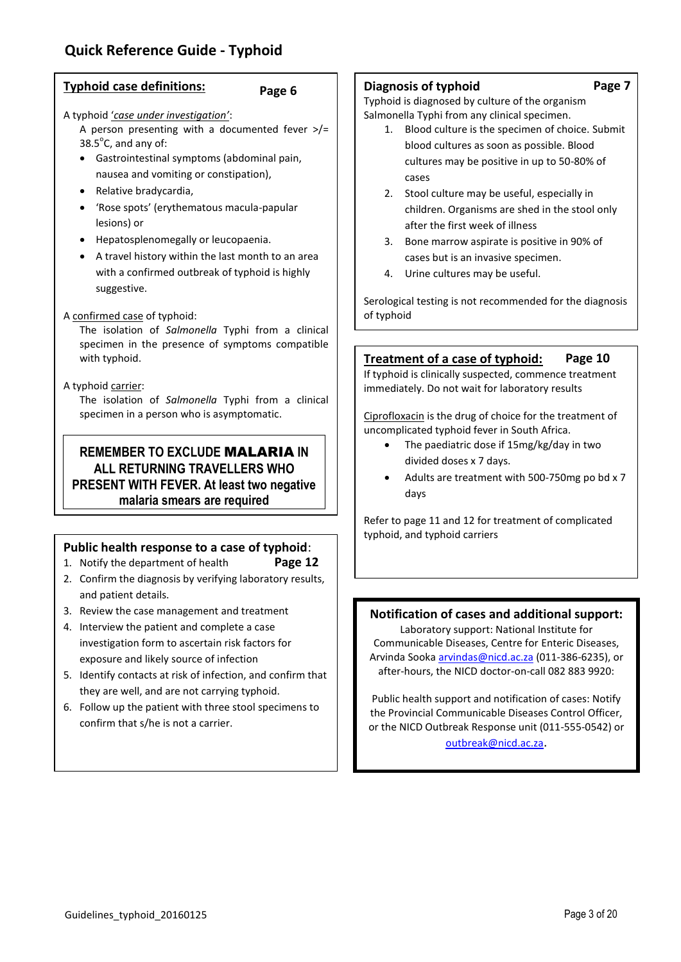## <span id="page-2-0"></span>**Quick Reference Guide - Typhoid**

#### **Typhoid case definitions:**

#### **Page 6**

A typhoid '*case under investigation'*:

A person presenting with a documented fever  $\frac{p}{r}$  $38.5^{\circ}$ C, and any of:

- Gastrointestinal symptoms (abdominal pain, nausea and vomiting or constipation),
- Relative bradycardia,
- 'Rose spots' (erythematous macula-papular lesions) or
- Hepatosplenomegally or leucopaenia.
- A travel history within the last month to an area with a confirmed outbreak of typhoid is highly suggestive.

#### A confirmed case of typhoid:

The isolation of *Salmonella* Typhi from a clinical specimen in the presence of symptoms compatible with typhoid.

#### A typhoid carrier:

The isolation of *Salmonella* Typhi from a clinical specimen in a person who is asymptomatic.

## **REMEMBER TO EXCLUDE** MALARIA **IN ALL RETURNING TRAVELLERS WHO PRESENT WITH FEVER. At least two negative malaria smears are required**

## **Public health response to a case of typhoid**:

- 1. Notify the department of health **Page 12**
- 2. Confirm the diagnosis by verifying laboratory results, and patient details.
- 3. Review the case management and treatment
- 4. Interview the patient and complete a case investigation form to ascertain risk factors for exposure and likely source of infection
- 5. Identify contacts at risk of infection, and confirm that they are well, and are not carrying typhoid.
- 6. Follow up the patient with three stool specimens to confirm that s/he is not a carrier.

#### **Diagnosis of typhoid**

Typhoid is diagnosed by culture of the organism Salmonella Typhi from any clinical specimen.

- 1. Blood culture is the specimen of choice. Submit blood cultures as soon as possible. Blood cultures may be positive in up to 50-80% of cases
- 2. Stool culture may be useful, especially in children. Organisms are shed in the stool only after the first week of illness
- 3. Bone marrow aspirate is positive in 90% of cases but is an invasive specimen.
- 4. Urine cultures may be useful.

Serological testing is not recommended for the diagnosis of typhoid

#### **Treatment of a case of typhoid: Page 10**

If typhoid is clinically suspected, commence treatment immediately. Do not wait for laboratory results

Ciprofloxacin is the drug of choice for the treatment of uncomplicated typhoid fever in South Africa.

- The paediatric dose if 15mg/kg/day in two divided doses x 7 days.
- Adults are treatment with 500-750mg po bd x 7 days

Refer to page 11 and 12 for treatment of complicated typhoid, and typhoid carriers

## **Notification of cases and additional support:**

Laboratory support: National Institute for Communicable Diseases, Centre for Enteric Diseases, Arvinda Sook[a arvindas@nicd.ac.za](mailto:arvindas@nicd.ac.za) (011-386-6235), or after-hours, the NICD doctor-on-call 082 883 9920:

Public health support and notification of cases: Notify the Provincial Communicable Diseases Control Officer, or the NICD Outbreak Response unit (011-555-0542) or [outbreak@nicd.ac.za](mailto:outbreak@nicd.ac.za).

**Page 7**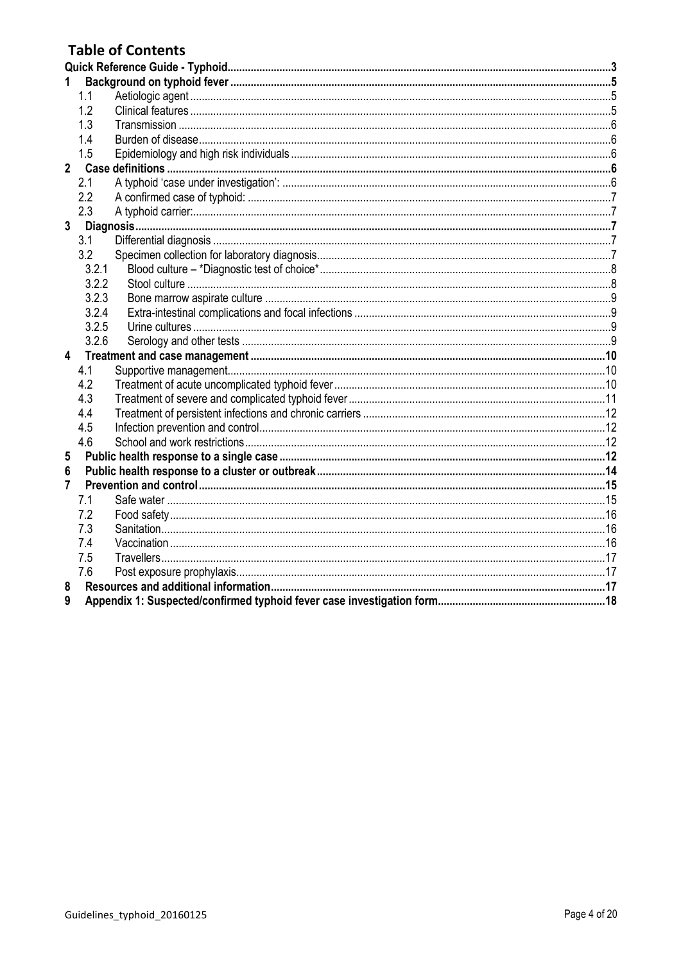## **Table of Contents**

|                         | 1.1   |  |
|-------------------------|-------|--|
|                         | 1.2   |  |
|                         | 1.3   |  |
|                         | 1.4   |  |
|                         | 1.5   |  |
| $\overline{2}$          |       |  |
|                         | 2.1   |  |
|                         | 2.2   |  |
|                         | 2.3   |  |
| 3                       |       |  |
|                         | 3.1   |  |
|                         | 3.2   |  |
|                         | 3.2.1 |  |
|                         | 3.2.2 |  |
|                         | 3.2.3 |  |
|                         | 3.2.4 |  |
|                         | 3.2.5 |  |
|                         | 3.2.6 |  |
| $\overline{\mathbf{4}}$ |       |  |
|                         | 4.1   |  |
|                         | 4.2   |  |
|                         | 4.3   |  |
|                         | 4.4   |  |
|                         | 4.5   |  |
|                         | 4.6   |  |
| 5                       |       |  |
| 6                       |       |  |
| 7                       |       |  |
|                         | 7.1   |  |
|                         | 7.2   |  |
|                         | 7.3   |  |
|                         | 7.4   |  |
|                         | 7.5   |  |
|                         | 7.6   |  |
| 8                       |       |  |
| 9                       |       |  |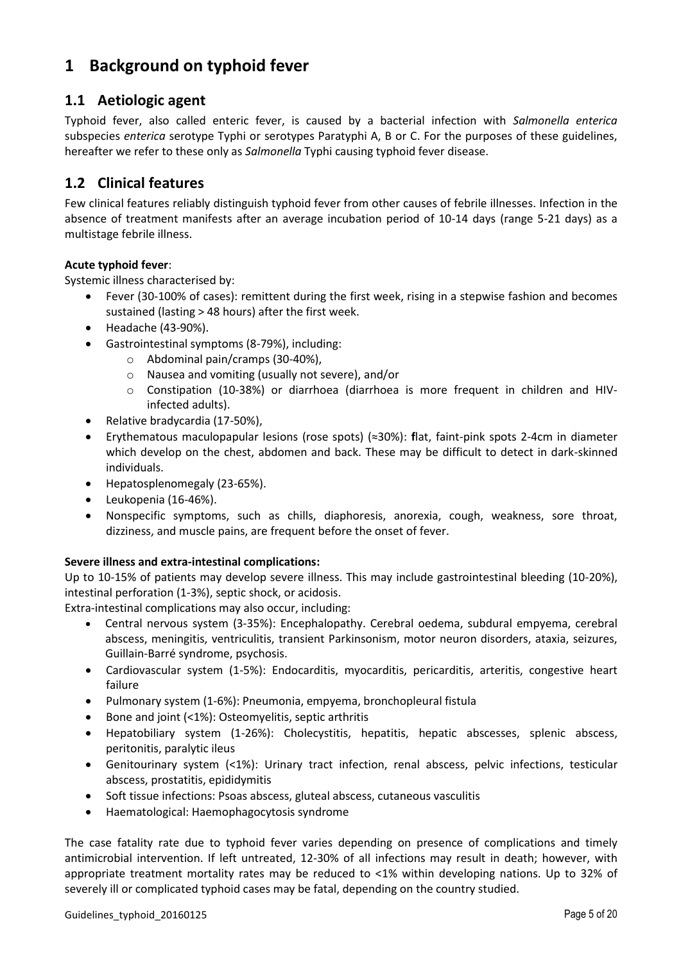## <span id="page-4-0"></span>**1 Background on typhoid fever**

## <span id="page-4-1"></span>**1.1 Aetiologic agent**

Typhoid fever, also called enteric fever, is caused by a bacterial infection with *Salmonella enterica* subspecies *enterica* serotype Typhi or serotypes Paratyphi A, B or C. For the purposes of these guidelines, hereafter we refer to these only as *Salmonella* Typhi causing typhoid fever disease.

## <span id="page-4-2"></span>**1.2 Clinical features**

Few clinical features reliably distinguish typhoid fever from other causes of febrile illnesses. Infection in the absence of treatment manifests after an average incubation period of 10-14 days (range 5-21 days) as a multistage febrile illness.

#### **Acute typhoid fever**:

Systemic illness characterised by:

- Fever (30-100% of cases): remittent during the first week, rising in a stepwise fashion and becomes sustained (lasting > 48 hours) after the first week.
- Headache (43-90%).
- Gastrointestinal symptoms (8-79%), including:
	- o Abdominal pain/cramps (30-40%),
	- o Nausea and vomiting (usually not severe), and/or
	- o Constipation (10-38%) or diarrhoea (diarrhoea is more frequent in children and HIVinfected adults).
- Relative bradycardia (17-50%),
- Erythematous maculopapular lesions (rose spots) (≈30%): **f**lat, faint-pink spots 2-4cm in diameter which develop on the chest, abdomen and back. These may be difficult to detect in dark-skinned individuals.
- Hepatosplenomegaly (23-65%).
- Leukopenia (16-46%).
- Nonspecific symptoms, such as chills, diaphoresis, anorexia, cough, weakness, sore throat, dizziness, and muscle pains, are frequent before the onset of fever.

#### **Severe illness and extra-intestinal complications:**

Up to 10-15% of patients may develop severe illness. This may include gastrointestinal bleeding (10-20%), intestinal perforation (1-3%), septic shock, or acidosis.

Extra-intestinal complications may also occur, including:

- Central nervous system (3-35%): Encephalopathy. Cerebral oedema, subdural empyema, cerebral abscess, meningitis, ventriculitis, transient Parkinsonism, motor neuron disorders, ataxia, seizures, Guillain-Barré syndrome, psychosis.
- Cardiovascular system (1-5%): Endocarditis, myocarditis, pericarditis, arteritis, congestive heart failure
- Pulmonary system (1-6%): Pneumonia, empyema, bronchopleural fistula
- Bone and joint (<1%): Osteomyelitis, septic arthritis
- Hepatobiliary system (1-26%): Cholecystitis, hepatitis, hepatic abscesses, splenic abscess, peritonitis, paralytic ileus
- Genitourinary system (<1%): Urinary tract infection, renal abscess, pelvic infections, testicular abscess, prostatitis, epididymitis
- Soft tissue infections: Psoas abscess, gluteal abscess, cutaneous vasculitis
- Haematological: Haemophagocytosis syndrome

The case fatality rate due to typhoid fever varies depending on presence of complications and timely antimicrobial intervention. If left untreated, 12-30% of all infections may result in death; however, with appropriate treatment mortality rates may be reduced to <1% within developing nations. Up to 32% of severely ill or complicated typhoid cases may be fatal, depending on the country studied.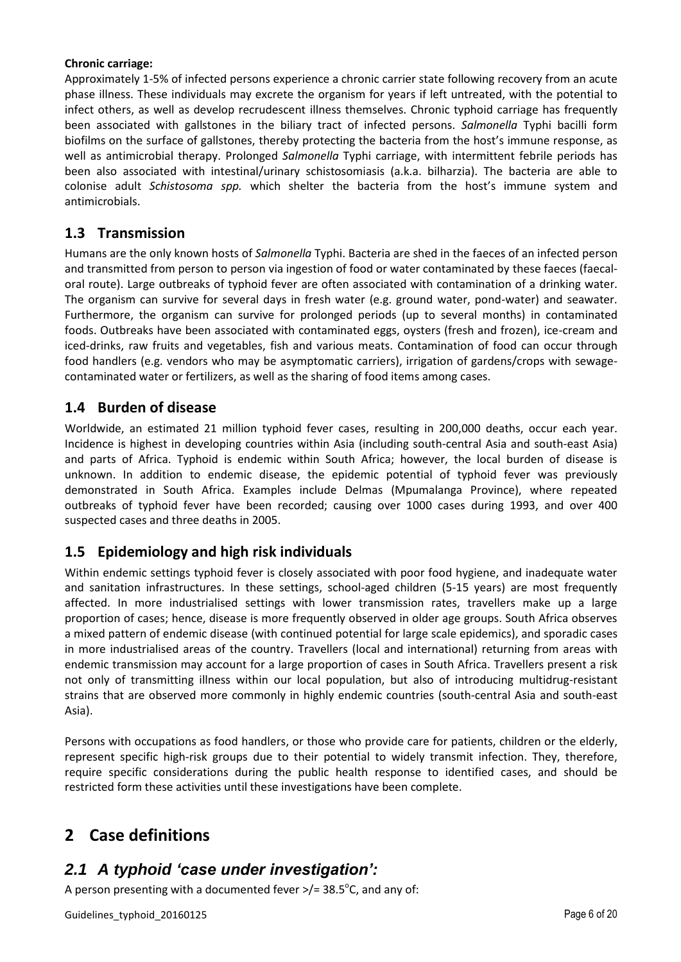#### **Chronic carriage:**

Approximately 1-5% of infected persons experience a chronic carrier state following recovery from an acute phase illness. These individuals may excrete the organism for years if left untreated, with the potential to infect others, as well as develop recrudescent illness themselves. Chronic typhoid carriage has frequently been associated with gallstones in the biliary tract of infected persons. *Salmonella* Typhi bacilli form biofilms on the surface of gallstones, thereby protecting the bacteria from the host's immune response, as well as antimicrobial therapy. Prolonged *Salmonella* Typhi carriage, with intermittent febrile periods has been also associated with intestinal/urinary schistosomiasis (a.k.a. bilharzia). The bacteria are able to colonise adult *Schistosoma spp.* which shelter the bacteria from the host's immune system and antimicrobials.

### <span id="page-5-0"></span>**1.3 Transmission**

Humans are the only known hosts of *Salmonella* Typhi. Bacteria are shed in the faeces of an infected person and transmitted from person to person via ingestion of food or water contaminated by these faeces (faecaloral route). Large outbreaks of typhoid fever are often associated with contamination of a drinking water. The organism can survive for several days in fresh water (e.g. ground water, pond-water) and seawater. Furthermore, the organism can survive for prolonged periods (up to several months) in contaminated foods. Outbreaks have been associated with contaminated eggs, oysters (fresh and frozen), ice-cream and iced-drinks, raw fruits and vegetables, fish and various meats. Contamination of food can occur through food handlers (e.g. vendors who may be asymptomatic carriers), irrigation of gardens/crops with sewagecontaminated water or fertilizers, as well as the sharing of food items among cases.

## <span id="page-5-1"></span>**1.4 Burden of disease**

Worldwide, an estimated 21 million typhoid fever cases, resulting in 200,000 deaths, occur each year. Incidence is highest in developing countries within Asia (including south-central Asia and south-east Asia) and parts of Africa. Typhoid is endemic within South Africa; however, the local burden of disease is unknown. In addition to endemic disease, the epidemic potential of typhoid fever was previously demonstrated in South Africa. Examples include Delmas (Mpumalanga Province), where repeated outbreaks of typhoid fever have been recorded; causing over 1000 cases during 1993, and over 400 suspected cases and three deaths in 2005.

## <span id="page-5-2"></span>**1.5 Epidemiology and high risk individuals**

Within endemic settings typhoid fever is closely associated with poor food hygiene, and inadequate water and sanitation infrastructures. In these settings, school-aged children (5-15 years) are most frequently affected. In more industrialised settings with lower transmission rates, travellers make up a large proportion of cases; hence, disease is more frequently observed in older age groups. South Africa observes a mixed pattern of endemic disease (with continued potential for large scale epidemics), and sporadic cases in more industrialised areas of the country. Travellers (local and international) returning from areas with endemic transmission may account for a large proportion of cases in South Africa. Travellers present a risk not only of transmitting illness within our local population, but also of introducing multidrug-resistant strains that are observed more commonly in highly endemic countries (south-central Asia and south-east Asia).

Persons with occupations as food handlers, or those who provide care for patients, children or the elderly, represent specific high-risk groups due to their potential to widely transmit infection. They, therefore, require specific considerations during the public health response to identified cases, and should be restricted form these activities until these investigations have been complete.

## <span id="page-5-3"></span>**2 Case definitions**

## <span id="page-5-4"></span>*2.1 A typhoid 'case under investigation':*

A person presenting with a documented fever  $\frac{>}{=}$  38.5°C, and any of: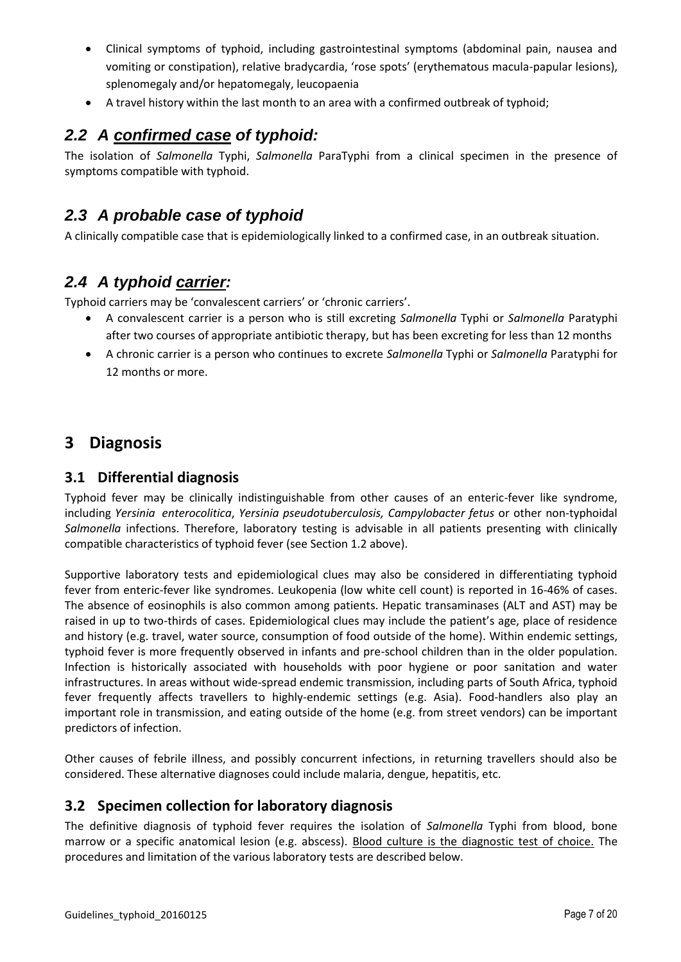- Clinical symptoms of typhoid, including gastrointestinal symptoms (abdominal pain, nausea and vomiting or constipation), relative bradycardia, 'rose spots' (erythematous macula-papular lesions), splenomegaly and/or hepatomegaly, leucopaenia
- A travel history within the last month to an area with a confirmed outbreak of typhoid;

## <span id="page-6-0"></span>*2.2 A confirmed case of typhoid:*

The isolation of *Salmonella* Typhi, *Salmonella* ParaTyphi from a clinical specimen in the presence of symptoms compatible with typhoid.

## *2.3 A probable case of typhoid*

A clinically compatible case that is epidemiologically linked to a confirmed case, in an outbreak situation.

## <span id="page-6-1"></span>*2.4 A typhoid carrier:*

Typhoid carriers may be 'convalescent carriers' or 'chronic carriers'.

- A convalescent carrier is a person who is still excreting *Salmonella* Typhi or *Salmonella* Paratyphi after two courses of appropriate antibiotic therapy, but has been excreting for less than 12 months
- A chronic carrier is a person who continues to excrete *Salmonella* Typhi or *Salmonella* Paratyphi for 12 months or more.

## <span id="page-6-2"></span>**3 Diagnosis**

#### <span id="page-6-3"></span>**3.1 Differential diagnosis**

Typhoid fever may be clinically indistinguishable from other causes of an enteric-fever like syndrome, including *Yersinia enterocolitica*, *Yersinia pseudotuberculosis, Campylobacter fetus* or other non-typhoidal *Salmonella* infections. Therefore, laboratory testing is advisable in all patients presenting with clinically compatible characteristics of typhoid fever (see Section 1.2 above).

Supportive laboratory tests and epidemiological clues may also be considered in differentiating typhoid fever from enteric-fever like syndromes. Leukopenia (low white cell count) is reported in 16-46% of cases. The absence of eosinophils is also common among patients. Hepatic transaminases (ALT and AST) may be raised in up to two-thirds of cases. Epidemiological clues may include the patient's age, place of residence and history (e.g. travel, water source, consumption of food outside of the home). Within endemic settings, typhoid fever is more frequently observed in infants and pre-school children than in the older population. Infection is historically associated with households with poor hygiene or poor sanitation and water infrastructures. In areas without wide-spread endemic transmission, including parts of South Africa, typhoid fever frequently affects travellers to highly-endemic settings (e.g. Asia). Food-handlers also play an important role in transmission, and eating outside of the home (e.g. from street vendors) can be important predictors of infection.

Other causes of febrile illness, and possibly concurrent infections, in returning travellers should also be considered. These alternative diagnoses could include malaria, dengue, hepatitis, etc.

#### <span id="page-6-4"></span>**3.2 Specimen collection for laboratory diagnosis**

The definitive diagnosis of typhoid fever requires the isolation of *Salmonella* Typhi from blood, bone marrow or a specific anatomical lesion (e.g. abscess). Blood culture is the diagnostic test of choice. The procedures and limitation of the various laboratory tests are described below.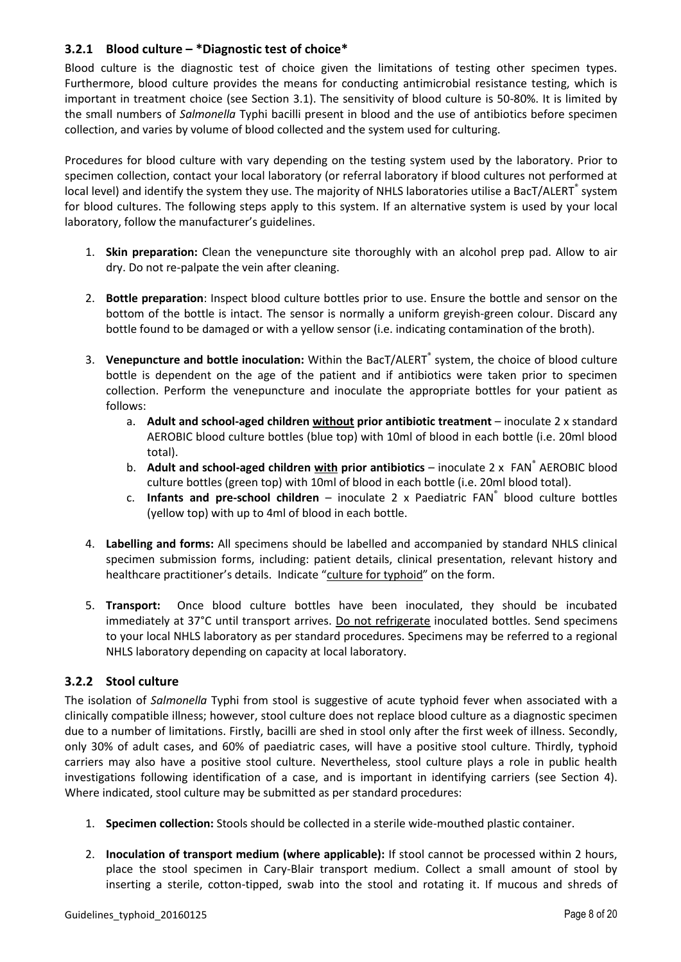#### <span id="page-7-0"></span>**3.2.1 Blood culture – \*Diagnostic test of choice\***

Blood culture is the diagnostic test of choice given the limitations of testing other specimen types. Furthermore, blood culture provides the means for conducting antimicrobial resistance testing, which is important in treatment choice (see Section 3.1). The sensitivity of blood culture is 50-80%. It is limited by the small numbers of *Salmonella* Typhi bacilli present in blood and the use of antibiotics before specimen collection, and varies by volume of blood collected and the system used for culturing.

Procedures for blood culture with vary depending on the testing system used by the laboratory. Prior to specimen collection, contact your local laboratory (or referral laboratory if blood cultures not performed at local level) and identify the system they use. The majority of NHLS laboratories utilise a BacT/ALERT<sup>®</sup> system for blood cultures. The following steps apply to this system. If an alternative system is used by your local laboratory, follow the manufacturer's guidelines.

- 1. **Skin preparation:** Clean the venepuncture site thoroughly with an alcohol prep pad. Allow to air dry. Do not re-palpate the vein after cleaning.
- 2. **Bottle preparation**: Inspect blood culture bottles prior to use. Ensure the bottle and sensor on the bottom of the bottle is intact. The sensor is normally a uniform greyish-green colour. Discard any bottle found to be damaged or with a yellow sensor (i.e. indicating contamination of the broth).
- 3. **Venepuncture and bottle inoculation:** Within the BacT/ALERT® system, the choice of blood culture bottle is dependent on the age of the patient and if antibiotics were taken prior to specimen collection. Perform the venepuncture and inoculate the appropriate bottles for your patient as follows:
	- a. **Adult and school-aged children without prior antibiotic treatment** inoculate 2 x standard AEROBIC blood culture bottles (blue top) with 10ml of blood in each bottle (i.e. 20ml blood total).
	- b. **Adult and school-aged children with prior antibiotics** inoculate 2 x FAN<sup>®</sup> AEROBIC blood culture bottles (green top) with 10ml of blood in each bottle (i.e. 20ml blood total).
	- c. Infants and pre-school children inoculate 2 x Paediatric FAN<sup>®</sup> blood culture bottles (yellow top) with up to 4ml of blood in each bottle.
- 4. **Labelling and forms:** All specimens should be labelled and accompanied by standard NHLS clinical specimen submission forms, including: patient details, clinical presentation, relevant history and healthcare practitioner's details. Indicate "culture for typhoid" on the form.
- 5. **Transport:** Once blood culture bottles have been inoculated, they should be incubated immediately at 37°C until transport arrives. Do not refrigerate inoculated bottles. Send specimens to your local NHLS laboratory as per standard procedures. Specimens may be referred to a regional NHLS laboratory depending on capacity at local laboratory.

#### <span id="page-7-1"></span>**3.2.2 Stool culture**

The isolation of *Salmonella* Typhi from stool is suggestive of acute typhoid fever when associated with a clinically compatible illness; however, stool culture does not replace blood culture as a diagnostic specimen due to a number of limitations. Firstly, bacilli are shed in stool only after the first week of illness. Secondly, only 30% of adult cases, and 60% of paediatric cases, will have a positive stool culture. Thirdly, typhoid carriers may also have a positive stool culture. Nevertheless, stool culture plays a role in public health investigations following identification of a case, and is important in identifying carriers (see Section 4). Where indicated, stool culture may be submitted as per standard procedures:

- 1. **Specimen collection:** Stools should be collected in a sterile wide-mouthed plastic container.
- 2. **Inoculation of transport medium (where applicable):** If stool cannot be processed within 2 hours, place the stool specimen in Cary-Blair transport medium. Collect a small amount of stool by inserting a sterile, cotton-tipped, swab into the stool and rotating it. If mucous and shreds of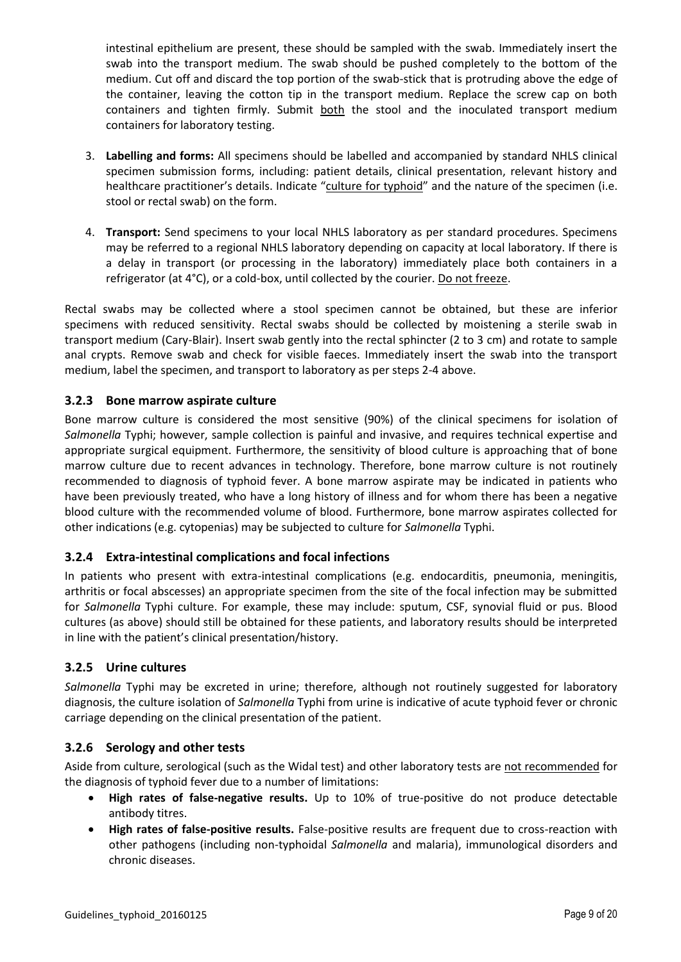intestinal epithelium are present, these should be sampled with the swab. Immediately insert the swab into the transport medium. The swab should be pushed completely to the bottom of the medium. Cut off and discard the top portion of the swab-stick that is protruding above the edge of the container, leaving the cotton tip in the transport medium. Replace the screw cap on both containers and tighten firmly. Submit both the stool and the inoculated transport medium containers for laboratory testing.

- 3. **Labelling and forms:** All specimens should be labelled and accompanied by standard NHLS clinical specimen submission forms, including: patient details, clinical presentation, relevant history and healthcare practitioner's details. Indicate "culture for typhoid" and the nature of the specimen (i.e. stool or rectal swab) on the form.
- 4. **Transport:** Send specimens to your local NHLS laboratory as per standard procedures. Specimens may be referred to a regional NHLS laboratory depending on capacity at local laboratory. If there is a delay in transport (or processing in the laboratory) immediately place both containers in a refrigerator (at 4°C), or a cold-box, until collected by the courier. Do not freeze.

Rectal swabs may be collected where a stool specimen cannot be obtained, but these are inferior specimens with reduced sensitivity. Rectal swabs should be collected by moistening a sterile swab in transport medium (Cary-Blair). Insert swab gently into the rectal sphincter (2 to 3 cm) and rotate to sample anal crypts. Remove swab and check for visible faeces. Immediately insert the swab into the transport medium, label the specimen, and transport to laboratory as per steps 2-4 above.

#### <span id="page-8-0"></span>**3.2.3 Bone marrow aspirate culture**

Bone marrow culture is considered the most sensitive (90%) of the clinical specimens for isolation of *Salmonella* Typhi; however, sample collection is painful and invasive, and requires technical expertise and appropriate surgical equipment. Furthermore, the sensitivity of blood culture is approaching that of bone marrow culture due to recent advances in technology. Therefore, bone marrow culture is not routinely recommended to diagnosis of typhoid fever. A bone marrow aspirate may be indicated in patients who have been previously treated, who have a long history of illness and for whom there has been a negative blood culture with the recommended volume of blood. Furthermore, bone marrow aspirates collected for other indications (e.g. cytopenias) may be subjected to culture for *Salmonella* Typhi.

#### <span id="page-8-1"></span>**3.2.4 Extra-intestinal complications and focal infections**

In patients who present with extra-intestinal complications (e.g. endocarditis, pneumonia, meningitis, arthritis or focal abscesses) an appropriate specimen from the site of the focal infection may be submitted for *Salmonella* Typhi culture. For example, these may include: sputum, CSF, synovial fluid or pus. Blood cultures (as above) should still be obtained for these patients, and laboratory results should be interpreted in line with the patient's clinical presentation/history.

#### <span id="page-8-2"></span>**3.2.5 Urine cultures**

*Salmonella* Typhi may be excreted in urine; therefore, although not routinely suggested for laboratory diagnosis, the culture isolation of *Salmonella* Typhi from urine is indicative of acute typhoid fever or chronic carriage depending on the clinical presentation of the patient.

#### <span id="page-8-3"></span>**3.2.6 Serology and other tests**

Aside from culture, serological (such as the Widal test) and other laboratory tests are not recommended for the diagnosis of typhoid fever due to a number of limitations:

- **High rates of false-negative results.** Up to 10% of true-positive do not produce detectable antibody titres.
- **High rates of false-positive results.** False-positive results are frequent due to cross-reaction with other pathogens (including non-typhoidal *Salmonella* and malaria), immunological disorders and chronic diseases.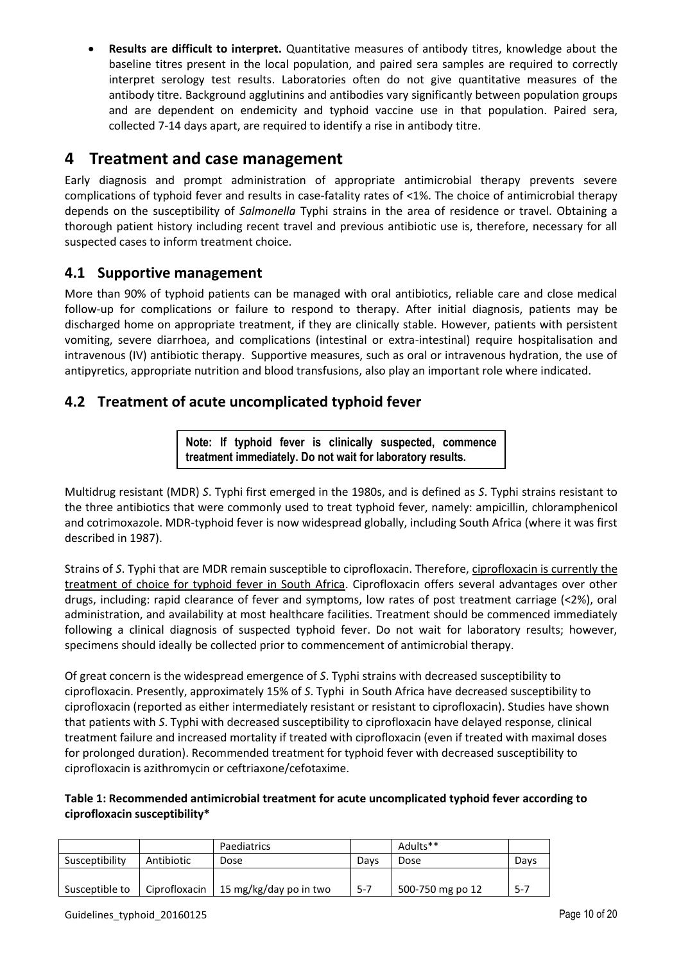**Results are difficult to interpret.** Quantitative measures of antibody titres, knowledge about the baseline titres present in the local population, and paired sera samples are required to correctly interpret serology test results. Laboratories often do not give quantitative measures of the antibody titre. Background agglutinins and antibodies vary significantly between population groups and are dependent on endemicity and typhoid vaccine use in that population. Paired sera, collected 7-14 days apart, are required to identify a rise in antibody titre.

## <span id="page-9-0"></span>**4 Treatment and case management**

Early diagnosis and prompt administration of appropriate antimicrobial therapy prevents severe complications of typhoid fever and results in case-fatality rates of <1%. The choice of antimicrobial therapy depends on the susceptibility of *Salmonella* Typhi strains in the area of residence or travel. Obtaining a thorough patient history including recent travel and previous antibiotic use is, therefore, necessary for all suspected cases to inform treatment choice.

## <span id="page-9-1"></span>**4.1 Supportive management**

More than 90% of typhoid patients can be managed with oral antibiotics, reliable care and close medical follow-up for complications or failure to respond to therapy. After initial diagnosis, patients may be discharged home on appropriate treatment, if they are clinically stable. However, patients with persistent vomiting, severe diarrhoea, and complications (intestinal or extra-intestinal) require hospitalisation and intravenous (IV) antibiotic therapy. Supportive measures, such as oral or intravenous hydration, the use of antipyretics, appropriate nutrition and blood transfusions, also play an important role where indicated.

## <span id="page-9-2"></span>**4.2 Treatment of acute uncomplicated typhoid fever**

**Note: If typhoid fever is clinically suspected, commence treatment immediately. Do not wait for laboratory results.** 

Multidrug resistant (MDR) *S*. Typhi first emerged in the 1980s, and is defined as *S*. Typhi strains resistant to the three antibiotics that were commonly used to treat typhoid fever, namely: ampicillin, chloramphenicol and cotrimoxazole. MDR-typhoid fever is now widespread globally, including South Africa (where it was first described in 1987).

Strains of *S*. Typhi that are MDR remain susceptible to ciprofloxacin. Therefore, ciprofloxacin is currently the treatment of choice for typhoid fever in South Africa. Ciprofloxacin offers several advantages over other drugs, including: rapid clearance of fever and symptoms, low rates of post treatment carriage (<2%), oral administration, and availability at most healthcare facilities. Treatment should be commenced immediately following a clinical diagnosis of suspected typhoid fever. Do not wait for laboratory results; however, specimens should ideally be collected prior to commencement of antimicrobial therapy.

Of great concern is the widespread emergence of *S*. Typhi strains with decreased susceptibility to ciprofloxacin. Presently, approximately 15% of *S*. Typhi in South Africa have decreased susceptibility to ciprofloxacin (reported as either intermediately resistant or resistant to ciprofloxacin). Studies have shown that patients with *S*. Typhi with decreased susceptibility to ciprofloxacin have delayed response, clinical treatment failure and increased mortality if treated with ciprofloxacin (even if treated with maximal doses for prolonged duration). Recommended treatment for typhoid fever with decreased susceptibility to ciprofloxacin is azithromycin or ceftriaxone/cefotaxime.

#### **Table 1: Recommended antimicrobial treatment for acute uncomplicated typhoid fever according to ciprofloxacin susceptibility\***

|                |               | Paediatrics            |         | Adults**         |       |
|----------------|---------------|------------------------|---------|------------------|-------|
| Susceptibility | Antibiotic    | Dose                   | Davs    | Dose             | Davs  |
|                |               |                        |         |                  |       |
| Susceptible to | Ciprofloxacin | 15 mg/kg/day po in two | $5 - 7$ | 500-750 mg po 12 | $5-7$ |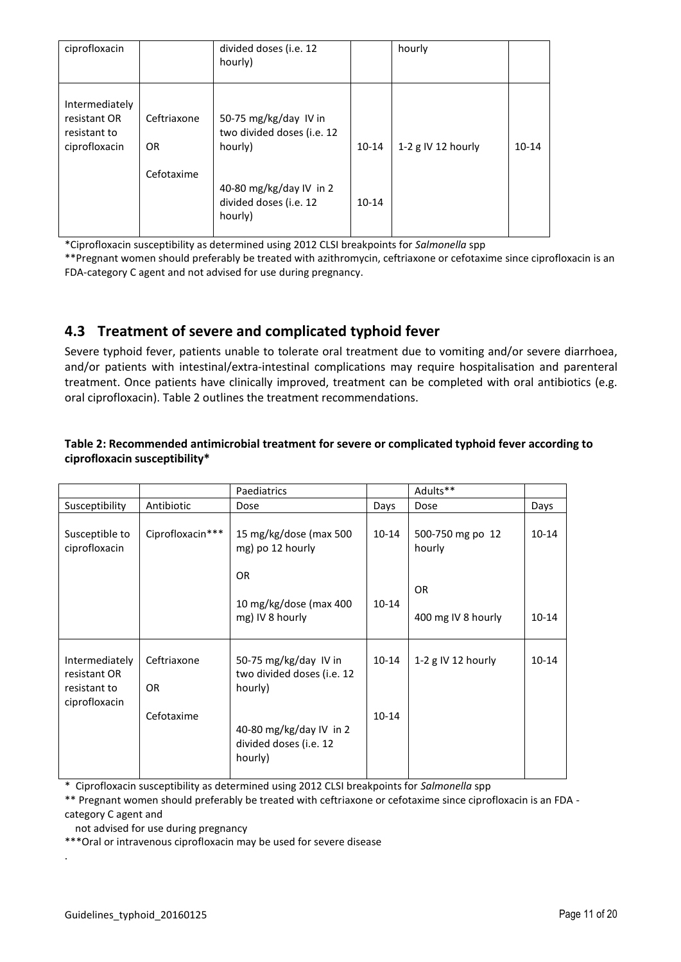| ciprofloxacin                                                   |                          | divided doses (i.e. 12<br>hourly)                              |           | hourly               |           |
|-----------------------------------------------------------------|--------------------------|----------------------------------------------------------------|-----------|----------------------|-----------|
| Intermediately<br>resistant OR<br>resistant to<br>ciprofloxacin | Ceftriaxone<br><b>OR</b> | 50-75 mg/kg/day IV in<br>two divided doses (i.e. 12<br>hourly) | 10-14     | 1-2 $g$ IV 12 hourly | $10 - 14$ |
|                                                                 | Cefotaxime               | 40-80 mg/kg/day IV in 2<br>divided doses (i.e. 12<br>hourly)   | $10 - 14$ |                      |           |

\*Ciprofloxacin susceptibility as determined using 2012 CLSI breakpoints for *Salmonella* spp

\*\*Pregnant women should preferably be treated with azithromycin, ceftriaxone or cefotaxime since ciprofloxacin is an FDA-category C agent and not advised for use during pregnancy.

## <span id="page-10-0"></span>**4.3 Treatment of severe and complicated typhoid fever**

Severe typhoid fever, patients unable to tolerate oral treatment due to vomiting and/or severe diarrhoea, and/or patients with intestinal/extra-intestinal complications may require hospitalisation and parenteral treatment. Once patients have clinically improved, treatment can be completed with oral antibiotics (e.g. oral ciprofloxacin). Table 2 outlines the treatment recommendations.

#### **Table 2: Recommended antimicrobial treatment for severe or complicated typhoid fever according to ciprofloxacin susceptibility\***

|                                                                 |                                  | Paediatrics                                                                                                         |                        | Adults**                        |           |
|-----------------------------------------------------------------|----------------------------------|---------------------------------------------------------------------------------------------------------------------|------------------------|---------------------------------|-----------|
| Susceptibility                                                  | Antibiotic                       | Dose                                                                                                                | Days                   | Dose                            | Days      |
| Susceptible to<br>ciprofloxacin                                 | Ciprofloxacin***                 | 15 mg/kg/dose (max 500<br>mg) po 12 hourly                                                                          | $10 - 14$              | 500-750 mg po 12<br>hourly      | $10 - 14$ |
|                                                                 |                                  | OR.<br>10 mg/kg/dose (max 400<br>mg) IV 8 hourly                                                                    | $10 - 14$              | <b>OR</b><br>400 mg IV 8 hourly | $10 - 14$ |
| Intermediately<br>resistant OR<br>resistant to<br>ciprofloxacin | Ceftriaxone<br>OR.<br>Cefotaxime | 50-75 mg/kg/day IV in<br>two divided doses (i.e. 12<br>hourly)<br>40-80 mg/kg/day IV in 2<br>divided doses (i.e. 12 | $10 - 14$<br>$10 - 14$ | 1-2 g IV 12 hourly              | $10 - 14$ |
|                                                                 |                                  | hourly)                                                                                                             |                        |                                 |           |

\* Ciprofloxacin susceptibility as determined using 2012 CLSI breakpoints for *Salmonella* spp

\*\* Pregnant women should preferably be treated with ceftriaxone or cefotaxime since ciprofloxacin is an FDA category C agent and

not advised for use during pregnancy

\*\*\*Oral or intravenous ciprofloxacin may be used for severe disease

.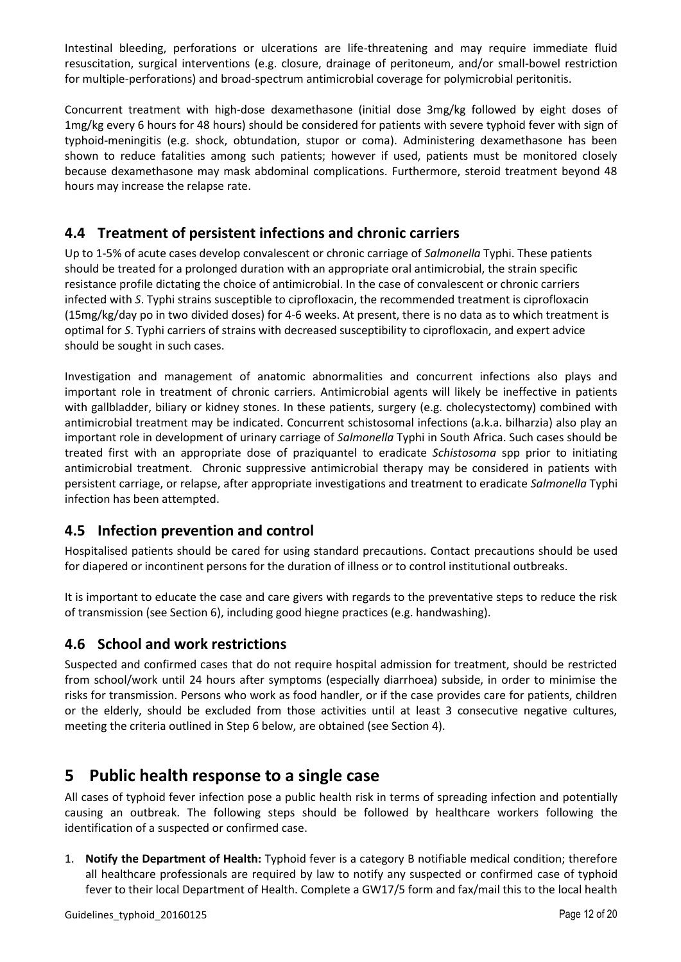Intestinal bleeding, perforations or ulcerations are life-threatening and may require immediate fluid resuscitation, surgical interventions (e.g. closure, drainage of peritoneum, and/or small-bowel restriction for multiple-perforations) and broad-spectrum antimicrobial coverage for polymicrobial peritonitis.

Concurrent treatment with high-dose dexamethasone (initial dose 3mg/kg followed by eight doses of 1mg/kg every 6 hours for 48 hours) should be considered for patients with severe typhoid fever with sign of typhoid-meningitis (e.g. shock, obtundation, stupor or coma). Administering dexamethasone has been shown to reduce fatalities among such patients; however if used, patients must be monitored closely because dexamethasone may mask abdominal complications. Furthermore, steroid treatment beyond 48 hours may increase the relapse rate.

## <span id="page-11-0"></span>**4.4 Treatment of persistent infections and chronic carriers**

Up to 1-5% of acute cases develop convalescent or chronic carriage of *Salmonella* Typhi. These patients should be treated for a prolonged duration with an appropriate oral antimicrobial, the strain specific resistance profile dictating the choice of antimicrobial. In the case of convalescent or chronic carriers infected with *S*. Typhi strains susceptible to ciprofloxacin, the recommended treatment is ciprofloxacin (15mg/kg/day po in two divided doses) for 4-6 weeks. At present, there is no data as to which treatment is optimal for *S*. Typhi carriers of strains with decreased susceptibility to ciprofloxacin, and expert advice should be sought in such cases.

Investigation and management of anatomic abnormalities and concurrent infections also plays and important role in treatment of chronic carriers. Antimicrobial agents will likely be ineffective in patients with gallbladder, biliary or kidney stones. In these patients, surgery (e.g. cholecystectomy) combined with antimicrobial treatment may be indicated. Concurrent schistosomal infections (a.k.a. bilharzia) also play an important role in development of urinary carriage of *Salmonella* Typhi in South Africa. Such cases should be treated first with an appropriate dose of praziquantel to eradicate *Schistosoma* spp prior to initiating antimicrobial treatment. Chronic suppressive antimicrobial therapy may be considered in patients with persistent carriage, or relapse, after appropriate investigations and treatment to eradicate *Salmonella* Typhi infection has been attempted.

## <span id="page-11-1"></span>**4.5 Infection prevention and control**

Hospitalised patients should be cared for using standard precautions. Contact precautions should be used for diapered or incontinent persons for the duration of illness or to control institutional outbreaks.

It is important to educate the case and care givers with regards to the preventative steps to reduce the risk of transmission (see Section 6), including good hiegne practices (e.g. handwashing).

## <span id="page-11-2"></span>**4.6 School and work restrictions**

Suspected and confirmed cases that do not require hospital admission for treatment, should be restricted from school/work until 24 hours after symptoms (especially diarrhoea) subside, in order to minimise the risks for transmission. Persons who work as food handler, or if the case provides care for patients, children or the elderly, should be excluded from those activities until at least 3 consecutive negative cultures, meeting the criteria outlined in Step 6 below, are obtained (see Section 4).

## <span id="page-11-3"></span>**5 Public health response to a single case**

All cases of typhoid fever infection pose a public health risk in terms of spreading infection and potentially causing an outbreak. The following steps should be followed by healthcare workers following the identification of a suspected or confirmed case.

1. **Notify the Department of Health:** Typhoid fever is a category B notifiable medical condition; therefore all healthcare professionals are required by law to notify any suspected or confirmed case of typhoid fever to their local Department of Health. Complete a GW17/5 form and fax/mail this to the local health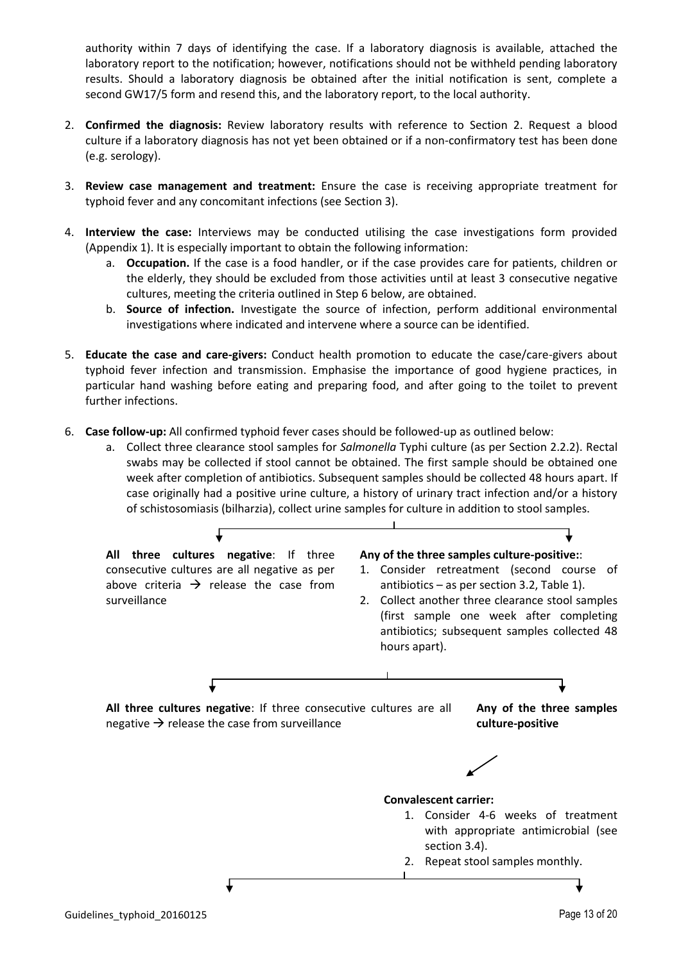authority within 7 days of identifying the case. If a laboratory diagnosis is available, attached the laboratory report to the notification; however, notifications should not be withheld pending laboratory results. Should a laboratory diagnosis be obtained after the initial notification is sent, complete a second GW17/5 form and resend this, and the laboratory report, to the local authority.

- 2. **Confirmed the diagnosis:** Review laboratory results with reference to Section 2. Request a blood culture if a laboratory diagnosis has not yet been obtained or if a non-confirmatory test has been done (e.g. serology).
- 3. **Review case management and treatment:** Ensure the case is receiving appropriate treatment for typhoid fever and any concomitant infections (see Section 3).
- 4. **Interview the case:** Interviews may be conducted utilising the case investigations form provided (Appendix 1). It is especially important to obtain the following information:
	- a. **Occupation.** If the case is a food handler, or if the case provides care for patients, children or the elderly, they should be excluded from those activities until at least 3 consecutive negative cultures, meeting the criteria outlined in Step 6 below, are obtained.
	- b. **Source of infection.** Investigate the source of infection, perform additional environmental investigations where indicated and intervene where a source can be identified.
- 5. **Educate the case and care-givers:** Conduct health promotion to educate the case/care-givers about typhoid fever infection and transmission. Emphasise the importance of good hygiene practices, in particular hand washing before eating and preparing food, and after going to the toilet to prevent further infections.
- 6. **Case follow-up:** All confirmed typhoid fever cases should be followed-up as outlined below:
	- a. Collect three clearance stool samples for *Salmonella* Typhi culture (as per Section 2.2.2). Rectal swabs may be collected if stool cannot be obtained. The first sample should be obtained one week after completion of antibiotics. Subsequent samples should be collected 48 hours apart. If case originally had a positive urine culture, a history of urinary tract infection and/or a history of schistosomiasis (bilharzia), collect urine samples for culture in addition to stool samples.

**All three cultures negative**: If three consecutive cultures are all negative as per above criteria  $\rightarrow$  release the case from surveillance **Any of the three samples culture-positive:**: 1. Consider retreatment (second course of antibiotics – as per section 3.2, Table 1). 2. Collect another three clearance stool samples (first sample one week after completing antibiotics; subsequent samples collected 48 hours apart). **All three cultures negative**: If three consecutive cultures are all negative  $\rightarrow$  release the case from surveillance **Any of the three samples culture-positive Convalescent carrier:** 1. Consider 4-6 weeks of treatment with appropriate antimicrobial (see section 3.4). 2. Repeat stool samples monthly.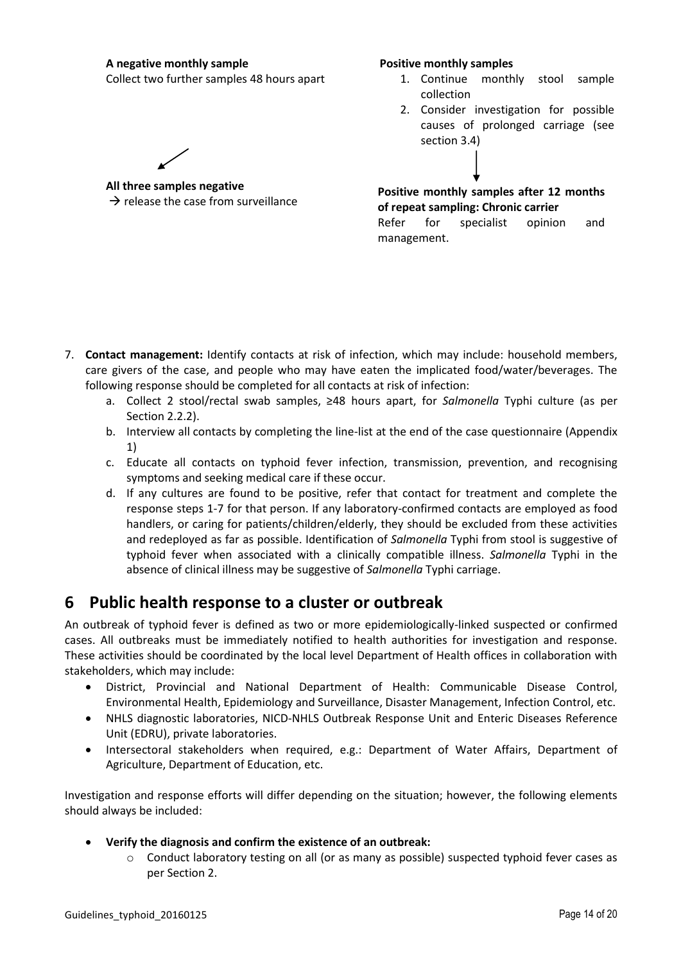#### **A negative monthly sample**

Collect two further samples 48 hours apart

#### **Positive monthly samples**

- 1. Continue monthly stool sample collection
- 2. Consider investigation for possible causes of prolonged carriage (see section 3.4)

**All three samples negative**  $\rightarrow$  release the case from surveillance

**Positive monthly samples after 12 months of repeat sampling: Chronic carrier**

Refer for specialist opinion and management.

- 7. **Contact management:** Identify contacts at risk of infection, which may include: household members, care givers of the case, and people who may have eaten the implicated food/water/beverages. The following response should be completed for all contacts at risk of infection:
	- a. Collect 2 stool/rectal swab samples, ≥48 hours apart, for *Salmonella* Typhi culture (as per Section 2.2.2).
	- b. Interview all contacts by completing the line-list at the end of the case questionnaire (Appendix 1)
	- c. Educate all contacts on typhoid fever infection, transmission, prevention, and recognising symptoms and seeking medical care if these occur.
	- d. If any cultures are found to be positive, refer that contact for treatment and complete the response steps 1-7 for that person. If any laboratory-confirmed contacts are employed as food handlers, or caring for patients/children/elderly, they should be excluded from these activities and redeployed as far as possible. Identification of *Salmonella* Typhi from stool is suggestive of typhoid fever when associated with a clinically compatible illness. *Salmonella* Typhi in the absence of clinical illness may be suggestive of *Salmonella* Typhi carriage.

## <span id="page-13-0"></span>**6 Public health response to a cluster or outbreak**

An outbreak of typhoid fever is defined as two or more epidemiologically-linked suspected or confirmed cases. All outbreaks must be immediately notified to health authorities for investigation and response. These activities should be coordinated by the local level Department of Health offices in collaboration with stakeholders, which may include:

- District, Provincial and National Department of Health: Communicable Disease Control, Environmental Health, Epidemiology and Surveillance, Disaster Management, Infection Control, etc.
- NHLS diagnostic laboratories, NICD-NHLS Outbreak Response Unit and Enteric Diseases Reference Unit (EDRU), private laboratories.
- Intersectoral stakeholders when required, e.g.: Department of Water Affairs, Department of Agriculture, Department of Education, etc.

Investigation and response efforts will differ depending on the situation; however, the following elements should always be included:

#### **Verify the diagnosis and confirm the existence of an outbreak:**

o Conduct laboratory testing on all (or as many as possible) suspected typhoid fever cases as per Section 2.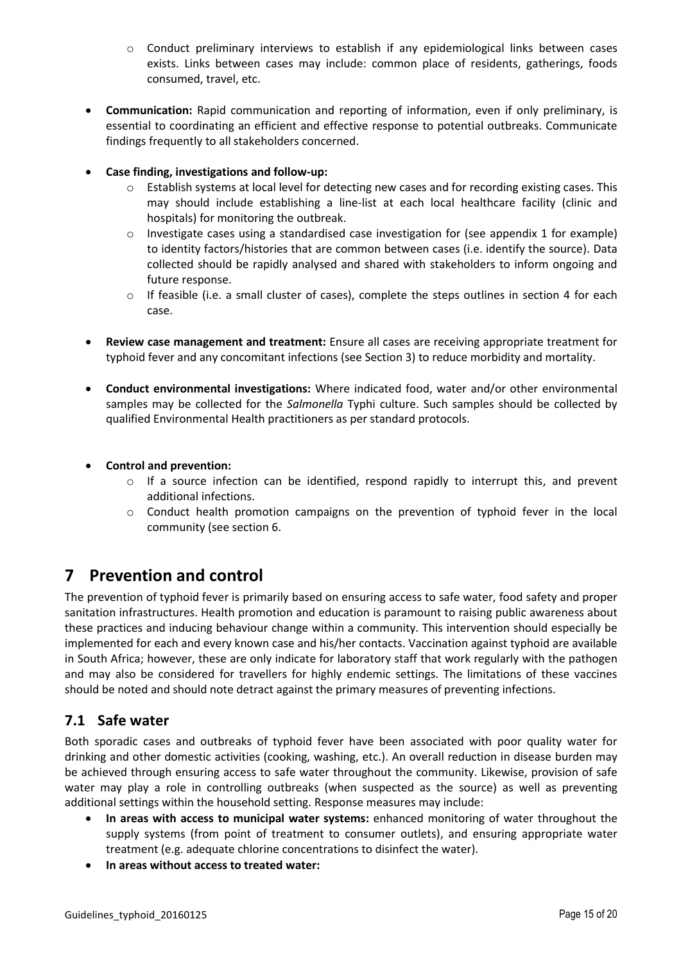- o Conduct preliminary interviews to establish if any epidemiological links between cases exists. Links between cases may include: common place of residents, gatherings, foods consumed, travel, etc.
- **Communication:** Rapid communication and reporting of information, even if only preliminary, is essential to coordinating an efficient and effective response to potential outbreaks. Communicate findings frequently to all stakeholders concerned.
- **Case finding, investigations and follow-up:**
	- o Establish systems at local level for detecting new cases and for recording existing cases. This may should include establishing a line-list at each local healthcare facility (clinic and hospitals) for monitoring the outbreak.
	- $\circ$  Investigate cases using a standardised case investigation for (see appendix 1 for example) to identity factors/histories that are common between cases (i.e. identify the source). Data collected should be rapidly analysed and shared with stakeholders to inform ongoing and future response.
	- $\circ$  If feasible (i.e. a small cluster of cases), complete the steps outlines in section 4 for each case.
- **Review case management and treatment:** Ensure all cases are receiving appropriate treatment for typhoid fever and any concomitant infections (see Section 3) to reduce morbidity and mortality.
- **Conduct environmental investigations:** Where indicated food, water and/or other environmental samples may be collected for the *Salmonella* Typhi culture. Such samples should be collected by qualified Environmental Health practitioners as per standard protocols.
- **Control and prevention:**
	- o If a source infection can be identified, respond rapidly to interrupt this, and prevent additional infections.
	- o Conduct health promotion campaigns on the prevention of typhoid fever in the local community (see section 6.

## <span id="page-14-0"></span>**7 Prevention and control**

The prevention of typhoid fever is primarily based on ensuring access to safe water, food safety and proper sanitation infrastructures. Health promotion and education is paramount to raising public awareness about these practices and inducing behaviour change within a community. This intervention should especially be implemented for each and every known case and his/her contacts. Vaccination against typhoid are available in South Africa; however, these are only indicate for laboratory staff that work regularly with the pathogen and may also be considered for travellers for highly endemic settings. The limitations of these vaccines should be noted and should note detract against the primary measures of preventing infections.

## <span id="page-14-1"></span>**7.1 Safe water**

Both sporadic cases and outbreaks of typhoid fever have been associated with poor quality water for drinking and other domestic activities (cooking, washing, etc.). An overall reduction in disease burden may be achieved through ensuring access to safe water throughout the community. Likewise, provision of safe water may play a role in controlling outbreaks (when suspected as the source) as well as preventing additional settings within the household setting. Response measures may include:

- **In areas with access to municipal water systems:** enhanced monitoring of water throughout the supply systems (from point of treatment to consumer outlets), and ensuring appropriate water treatment (e.g. adequate chlorine concentrations to disinfect the water).
- **In areas without access to treated water:**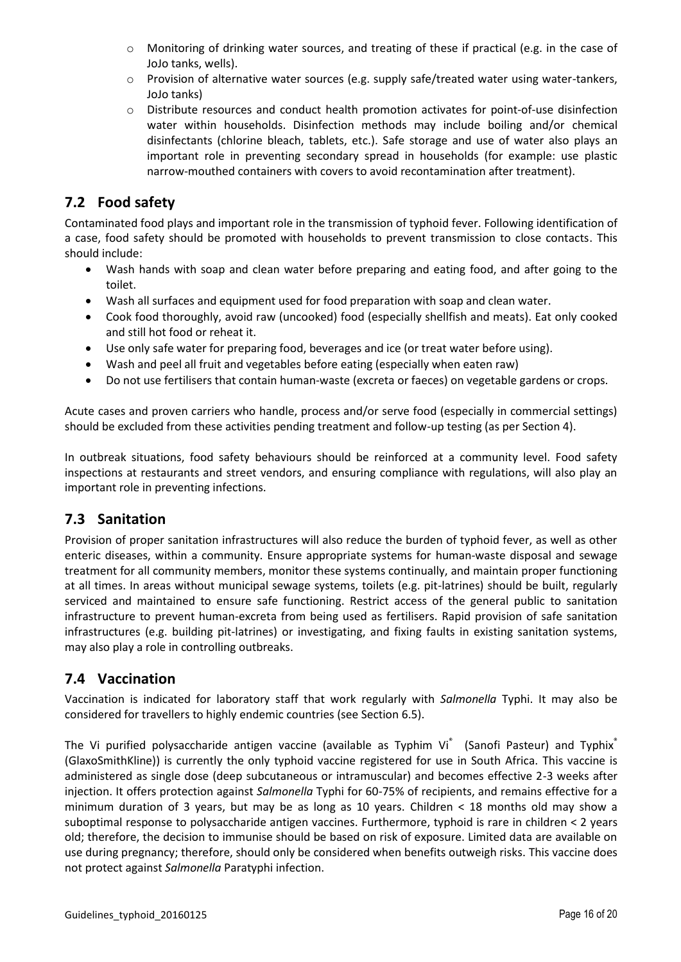- $\circ$  Monitoring of drinking water sources, and treating of these if practical (e.g. in the case of JoJo tanks, wells).
- $\circ$  Provision of alternative water sources (e.g. supply safe/treated water using water-tankers, JoJo tanks)
- o Distribute resources and conduct health promotion activates for point-of-use disinfection water within households. Disinfection methods may include boiling and/or chemical disinfectants (chlorine bleach, tablets, etc.). Safe storage and use of water also plays an important role in preventing secondary spread in households (for example: use plastic narrow-mouthed containers with covers to avoid recontamination after treatment).

## <span id="page-15-0"></span>**7.2 Food safety**

Contaminated food plays and important role in the transmission of typhoid fever. Following identification of a case, food safety should be promoted with households to prevent transmission to close contacts. This should include:

- Wash hands with soap and clean water before preparing and eating food, and after going to the toilet.
- Wash all surfaces and equipment used for food preparation with soap and clean water.
- Cook food thoroughly, avoid raw (uncooked) food (especially shellfish and meats). Eat only cooked and still hot food or reheat it.
- Use only safe water for preparing food, beverages and ice (or treat water before using).
- Wash and peel all fruit and vegetables before eating (especially when eaten raw)
- Do not use fertilisers that contain human-waste (excreta or faeces) on vegetable gardens or crops.

Acute cases and proven carriers who handle, process and/or serve food (especially in commercial settings) should be excluded from these activities pending treatment and follow-up testing (as per Section 4).

In outbreak situations, food safety behaviours should be reinforced at a community level. Food safety inspections at restaurants and street vendors, and ensuring compliance with regulations, will also play an important role in preventing infections.

## <span id="page-15-1"></span>**7.3 Sanitation**

Provision of proper sanitation infrastructures will also reduce the burden of typhoid fever, as well as other enteric diseases, within a community. Ensure appropriate systems for human-waste disposal and sewage treatment for all community members, monitor these systems continually, and maintain proper functioning at all times. In areas without municipal sewage systems, toilets (e.g. pit-latrines) should be built, regularly serviced and maintained to ensure safe functioning. Restrict access of the general public to sanitation infrastructure to prevent human-excreta from being used as fertilisers. Rapid provision of safe sanitation infrastructures (e.g. building pit-latrines) or investigating, and fixing faults in existing sanitation systems, may also play a role in controlling outbreaks.

## <span id="page-15-2"></span>**7.4 Vaccination**

Vaccination is indicated for laboratory staff that work regularly with *Salmonella* Typhi. It may also be considered for travellers to highly endemic countries (see Section 6.5).

The Vi purified polysaccharide antigen vaccine (available as Typhim Vi $^{*}$  (Sanofi Pasteur) and Typhix $^{*}$ (GlaxoSmithKline)) is currently the only typhoid vaccine registered for use in South Africa. This vaccine is administered as single dose (deep subcutaneous or intramuscular) and becomes effective 2-3 weeks after injection. It offers protection against *Salmonella* Typhi for 60-75% of recipients, and remains effective for a minimum duration of 3 years, but may be as long as 10 years. Children < 18 months old may show a suboptimal response to polysaccharide antigen vaccines. Furthermore, typhoid is rare in children < 2 years old; therefore, the decision to immunise should be based on risk of exposure. Limited data are available on use during pregnancy; therefore, should only be considered when benefits outweigh risks. This vaccine does not protect against *Salmonella* Paratyphi infection.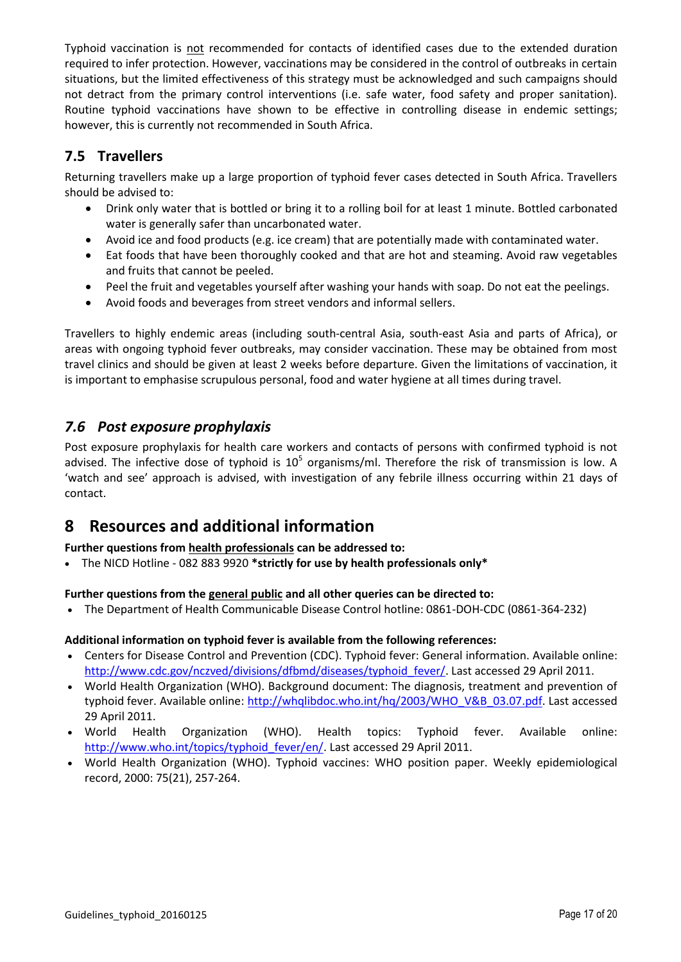Typhoid vaccination is not recommended for contacts of identified cases due to the extended duration required to infer protection. However, vaccinations may be considered in the control of outbreaks in certain situations, but the limited effectiveness of this strategy must be acknowledged and such campaigns should not detract from the primary control interventions (i.e. safe water, food safety and proper sanitation). Routine typhoid vaccinations have shown to be effective in controlling disease in endemic settings; however, this is currently not recommended in South Africa.

## <span id="page-16-0"></span>**7.5 Travellers**

Returning travellers make up a large proportion of typhoid fever cases detected in South Africa. Travellers should be advised to:

- Drink only water that is bottled or bring it to a rolling boil for at least 1 minute. Bottled carbonated water is generally safer than uncarbonated water.
- Avoid ice and food products (e.g. ice cream) that are potentially made with contaminated water.
- Eat foods that have been thoroughly cooked and that are hot and steaming. Avoid raw vegetables and fruits that cannot be peeled.
- Peel the fruit and vegetables yourself after washing your hands with soap. Do not eat the peelings.
- Avoid foods and beverages from street vendors and informal sellers.

Travellers to highly endemic areas (including south-central Asia, south-east Asia and parts of Africa), or areas with ongoing typhoid fever outbreaks, may consider vaccination. These may be obtained from most travel clinics and should be given at least 2 weeks before departure. Given the limitations of vaccination, it is important to emphasise scrupulous personal, food and water hygiene at all times during travel.

## <span id="page-16-1"></span>*7.6 Post exposure prophylaxis*

Post exposure prophylaxis for health care workers and contacts of persons with confirmed typhoid is not advised. The infective dose of typhoid is  $10^5$  organisms/ml. Therefore the risk of transmission is low. A 'watch and see' approach is advised, with investigation of any febrile illness occurring within 21 days of contact.

## <span id="page-16-2"></span>**8 Resources and additional information**

#### **Further questions from health professionals can be addressed to:**

The NICD Hotline - 082 883 9920 **\*strictly for use by health professionals only\***

#### **Further questions from the general public and all other queries can be directed to:**

The Department of Health Communicable Disease Control hotline: 0861-DOH-CDC (0861-364-232)

#### **Additional information on typhoid fever is available from the following references:**

- Centers for Disease Control and Prevention (CDC). Typhoid fever: General information. Available online: [http://www.cdc.gov/nczved/divisions/dfbmd/diseases/typhoid\\_fever/.](http://www.cdc.gov/nczved/divisions/dfbmd/diseases/typhoid_fever/) Last accessed 29 April 2011.
- World Health Organization (WHO). Background document: The diagnosis, treatment and prevention of typhoid fever. Available online: [http://whqlibdoc.who.int/hq/2003/WHO\\_V&B\\_03.07.pdf.](http://whqlibdoc.who.int/hq/2003/WHO_V&B_03.07.pdf) Last accessed 29 April 2011.
- World Health Organization (WHO). Health topics: Typhoid fever. Available online: [http://www.who.int/topics/typhoid\\_fever/en/.](http://www.who.int/topics/typhoid_fever/en/) Last accessed 29 April 2011.
- World Health Organization (WHO). Typhoid vaccines: WHO position paper. Weekly epidemiological record, 2000: 75(21), 257-264.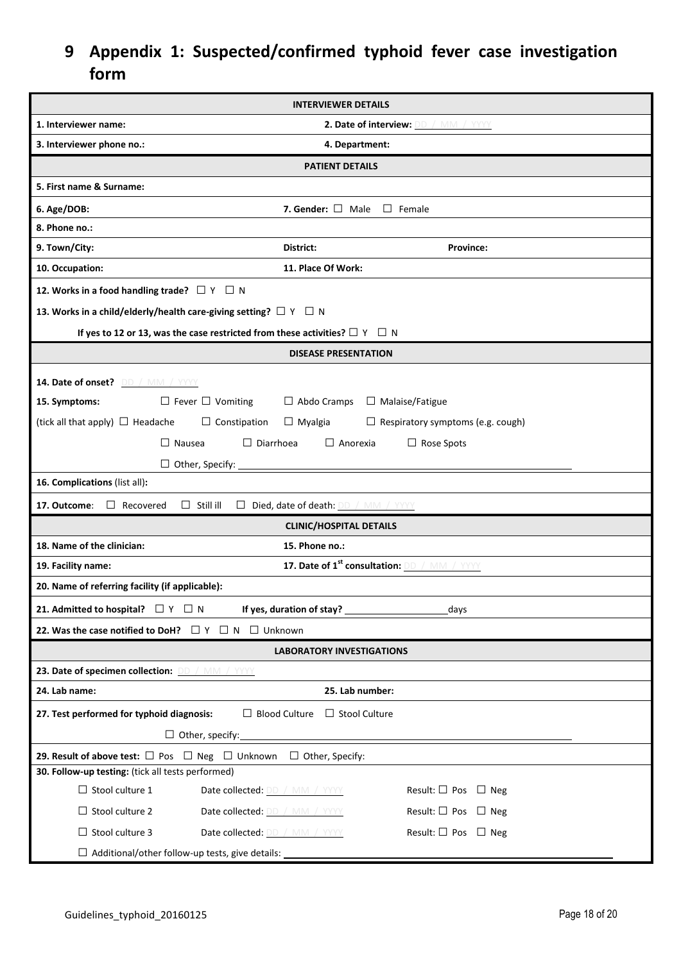## <span id="page-17-0"></span>**9 Appendix 1: Suspected/confirmed typhoid fever case investigation form**

| <b>INTERVIEWER DETAILS</b>                                                                                                                        |                                                                           |                                                          |  |  |  |  |  |  |
|---------------------------------------------------------------------------------------------------------------------------------------------------|---------------------------------------------------------------------------|----------------------------------------------------------|--|--|--|--|--|--|
| 1. Interviewer name:                                                                                                                              |                                                                           | 2. Date of interview: DD / MM / YYYY                     |  |  |  |  |  |  |
| 3. Interviewer phone no.:<br>4. Department:                                                                                                       |                                                                           |                                                          |  |  |  |  |  |  |
|                                                                                                                                                   | <b>PATIENT DETAILS</b>                                                    |                                                          |  |  |  |  |  |  |
| 5. First name & Surname:                                                                                                                          |                                                                           |                                                          |  |  |  |  |  |  |
| 6. Age/DOB:                                                                                                                                       | 7. Gender: $\Box$ Male $\Box$ Female                                      |                                                          |  |  |  |  |  |  |
| 8. Phone no.:                                                                                                                                     |                                                                           |                                                          |  |  |  |  |  |  |
| 9. Town/City:                                                                                                                                     | District:                                                                 | Province:                                                |  |  |  |  |  |  |
| 10. Occupation:                                                                                                                                   | 11. Place Of Work:                                                        |                                                          |  |  |  |  |  |  |
| 12. Works in a food handling trade? $\Box Y \Box N$                                                                                               |                                                                           |                                                          |  |  |  |  |  |  |
| 13. Works in a child/elderly/health care-giving setting? $\Box$ Y $\Box$ N                                                                        |                                                                           |                                                          |  |  |  |  |  |  |
| If yes to 12 or 13, was the case restricted from these activities? $\Box$ Y $\Box$ N                                                              |                                                                           |                                                          |  |  |  |  |  |  |
|                                                                                                                                                   | <b>DISEASE PRESENTATION</b>                                               |                                                          |  |  |  |  |  |  |
|                                                                                                                                                   |                                                                           |                                                          |  |  |  |  |  |  |
| 14. Date of onset? DD / MM / YYYY<br>$\Box$ Fever $\Box$ Vomiting<br>15. Symptoms:                                                                | $\Box$ Abdo Cramps $\Box$ Malaise/Fatigue                                 |                                                          |  |  |  |  |  |  |
| (tick all that apply) $\Box$ Headache                                                                                                             | $\Box$ Constipation<br>$\Box$ Myalgia                                     | $\Box$ Respiratory symptoms (e.g. cough)                 |  |  |  |  |  |  |
|                                                                                                                                                   |                                                                           |                                                          |  |  |  |  |  |  |
|                                                                                                                                                   | $\Box$ Diarrhoea<br>$\Box$ Anorexia<br>$\Box$ Nausea<br>$\Box$ Rose Spots |                                                          |  |  |  |  |  |  |
| $\Box$ Other, Specify:<br>16. Complications (list all):                                                                                           |                                                                           |                                                          |  |  |  |  |  |  |
|                                                                                                                                                   |                                                                           |                                                          |  |  |  |  |  |  |
| $\Box$ Still ill<br>17. Outcome:<br>$\Box$ Recovered                                                                                              | Died, date of death: DD / MM / YYYY<br><b>CLINIC/HOSPITAL DETAILS</b>     |                                                          |  |  |  |  |  |  |
| 18. Name of the clinician:                                                                                                                        | 15. Phone no.:                                                            |                                                          |  |  |  |  |  |  |
| 19. Facility name:                                                                                                                                |                                                                           | 17. Date of 1 <sup>st</sup> consultation: DD / MM / YYYY |  |  |  |  |  |  |
| 20. Name of referring facility (if applicable):                                                                                                   |                                                                           |                                                          |  |  |  |  |  |  |
| 21. Admitted to hospital? $\Box Y \Box N$                                                                                                         |                                                                           |                                                          |  |  |  |  |  |  |
|                                                                                                                                                   | If yes, duration of stay?                                                 | days                                                     |  |  |  |  |  |  |
| 22. Was the case notified to DoH? $\Box Y \Box N \Box$ Unknown                                                                                    |                                                                           |                                                          |  |  |  |  |  |  |
| 23. Date of specimen collection: DD / MM / YYYY                                                                                                   | <b>LABORATORY INVESTIGATIONS</b>                                          |                                                          |  |  |  |  |  |  |
| 24. Lab name:                                                                                                                                     |                                                                           |                                                          |  |  |  |  |  |  |
| 25. Lab number:                                                                                                                                   |                                                                           |                                                          |  |  |  |  |  |  |
| $\Box$ Blood Culture $\Box$ Stool Culture<br>27. Test performed for typhoid diagnosis:                                                            |                                                                           |                                                          |  |  |  |  |  |  |
| $\Box$ Other, specify:<br><u> 1980 - John Stein, Amerikaansk politiker (* 1900)</u>                                                               |                                                                           |                                                          |  |  |  |  |  |  |
| <b>29. Result of above test:</b> $\Box$ Pos $\Box$ Neg $\Box$ Unknown $\Box$ Other, Specify:<br>30. Follow-up testing: (tick all tests performed) |                                                                           |                                                          |  |  |  |  |  |  |
| $\Box$ Stool culture 1                                                                                                                            | Date collected: DD / MM / YYYY                                            | Result: $\square$ Pos $\square$ Neg                      |  |  |  |  |  |  |
| $\Box$ Stool culture 2                                                                                                                            | Date collected: DD / MM / YYYY                                            | Result: $\square$ Pos $\square$ Neg                      |  |  |  |  |  |  |
| $\Box$ Stool culture 3                                                                                                                            | Date collected: DD / MM / YYYY                                            | Result: $\square$ Pos $\square$ Neg                      |  |  |  |  |  |  |
| $\Box$ Additional/other follow-up tests, give details:                                                                                            |                                                                           |                                                          |  |  |  |  |  |  |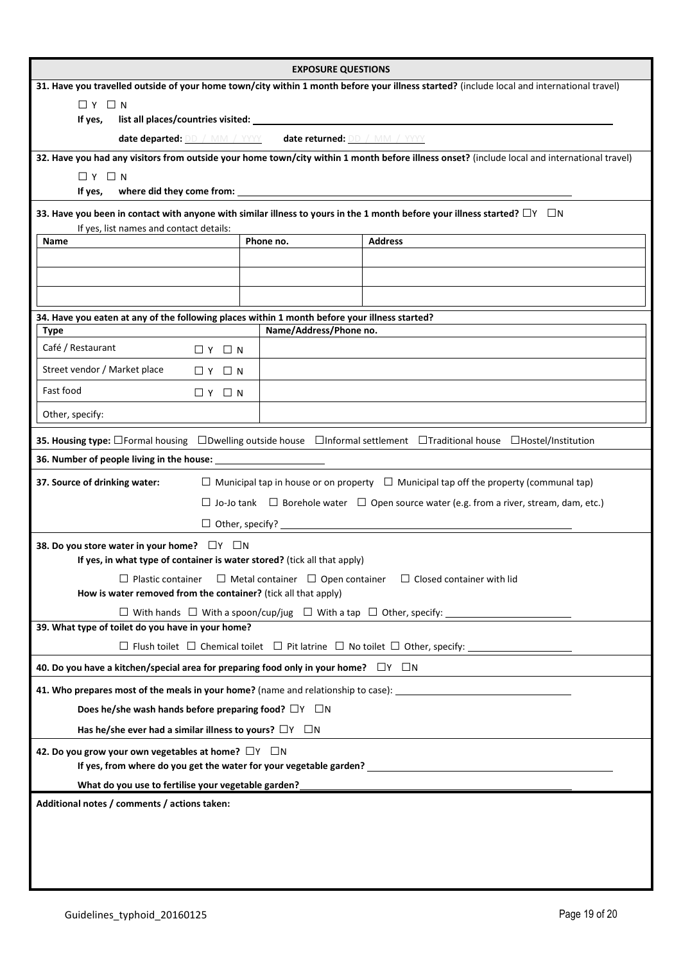|                                                                                                                                                                 | <b>EXPOSURE QUESTIONS</b> |                                                                                                                                              |  |  |  |  |  |
|-----------------------------------------------------------------------------------------------------------------------------------------------------------------|---------------------------|----------------------------------------------------------------------------------------------------------------------------------------------|--|--|--|--|--|
|                                                                                                                                                                 |                           | 31. Have you travelled outside of your home town/city within 1 month before your illness started? (include local and international travel)   |  |  |  |  |  |
| $\Box$ Y $\Box$ N                                                                                                                                               |                           |                                                                                                                                              |  |  |  |  |  |
| If yes,                                                                                                                                                         |                           |                                                                                                                                              |  |  |  |  |  |
| date departed: DD / MM / YYYY date returned: DD / MM / YYYY                                                                                                     |                           |                                                                                                                                              |  |  |  |  |  |
|                                                                                                                                                                 |                           | 32. Have you had any visitors from outside your home town/city within 1 month before illness onset? (include local and international travel) |  |  |  |  |  |
| $\Box$ $Y$ $\Box$ $N$                                                                                                                                           |                           |                                                                                                                                              |  |  |  |  |  |
| If yes,                                                                                                                                                         |                           |                                                                                                                                              |  |  |  |  |  |
| If yes, list names and contact details:                                                                                                                         |                           | 33. Have you been in contact with anyone with similar illness to yours in the 1 month before your illness started? $\Box$ Y $\Box$ N         |  |  |  |  |  |
| <b>Name</b>                                                                                                                                                     | Phone no.                 | <b>Address</b>                                                                                                                               |  |  |  |  |  |
|                                                                                                                                                                 |                           |                                                                                                                                              |  |  |  |  |  |
|                                                                                                                                                                 |                           |                                                                                                                                              |  |  |  |  |  |
|                                                                                                                                                                 |                           |                                                                                                                                              |  |  |  |  |  |
| 34. Have you eaten at any of the following places within 1 month before your illness started?                                                                   |                           |                                                                                                                                              |  |  |  |  |  |
| <b>Type</b>                                                                                                                                                     | Name/Address/Phone no.    |                                                                                                                                              |  |  |  |  |  |
| Café / Restaurant<br>$\Box$ Y $\Box$ N                                                                                                                          |                           |                                                                                                                                              |  |  |  |  |  |
| Street vendor / Market place<br>$\Box$ Y $\Box$ N                                                                                                               |                           |                                                                                                                                              |  |  |  |  |  |
| Fast food<br>$\Box$ Y $\Box$ N                                                                                                                                  |                           |                                                                                                                                              |  |  |  |  |  |
| Other, specify:                                                                                                                                                 |                           |                                                                                                                                              |  |  |  |  |  |
|                                                                                                                                                                 |                           | 35. Housing type: □Formal housing □Dwelling outside house □Informal settlement □Traditional house □Hostel/Institution                        |  |  |  |  |  |
|                                                                                                                                                                 |                           |                                                                                                                                              |  |  |  |  |  |
| 37. Source of drinking water:                                                                                                                                   |                           | $\Box$ Municipal tap in house or on property $\Box$ Municipal tap off the property (communal tap)                                            |  |  |  |  |  |
|                                                                                                                                                                 |                           | $\Box$ Jo-Jo tank $\Box$ Borehole water $\Box$ Open source water (e.g. from a river, stream, dam, etc.)                                      |  |  |  |  |  |
|                                                                                                                                                                 |                           |                                                                                                                                              |  |  |  |  |  |
|                                                                                                                                                                 |                           |                                                                                                                                              |  |  |  |  |  |
| 38. Do you store water in your home? □ Y □ N<br>If yes, in what type of container is water stored? (tick all that apply)                                        |                           |                                                                                                                                              |  |  |  |  |  |
|                                                                                                                                                                 |                           | $\Box$ Plastic container $\Box$ Metal container $\Box$ Open container $\Box$ Closed container with lid                                       |  |  |  |  |  |
| How is water removed from the container? (tick all that apply)                                                                                                  |                           |                                                                                                                                              |  |  |  |  |  |
|                                                                                                                                                                 |                           | $\square$ With hands $\square$ With a spoon/cup/jug $\square$ With a tap $\square$ Other, specify:                                           |  |  |  |  |  |
| 39. What type of toilet do you have in your home?                                                                                                               |                           |                                                                                                                                              |  |  |  |  |  |
|                                                                                                                                                                 |                           |                                                                                                                                              |  |  |  |  |  |
| 40. Do you have a kitchen/special area for preparing food only in your home? $\Box Y \Box N$                                                                    |                           |                                                                                                                                              |  |  |  |  |  |
| 41. Who prepares most of the meals in your home? (name and relationship to case): ____________________________                                                  |                           |                                                                                                                                              |  |  |  |  |  |
| Does he/she wash hands before preparing food? $\Box Y$ $\Box N$                                                                                                 |                           |                                                                                                                                              |  |  |  |  |  |
| Has he/she ever had a similar illness to yours? $\Box Y$ $\Box N$                                                                                               |                           |                                                                                                                                              |  |  |  |  |  |
| 42. Do you grow your own vegetables at home? $\Box Y$ $\Box N$                                                                                                  |                           |                                                                                                                                              |  |  |  |  |  |
| What do you use to fertilise your vegetable garden?                                                                                                             |                           |                                                                                                                                              |  |  |  |  |  |
| the contract of the contract of the contract of the contract of the contract of the contract of the contract of<br>Additional notes / comments / actions taken: |                           |                                                                                                                                              |  |  |  |  |  |
|                                                                                                                                                                 |                           |                                                                                                                                              |  |  |  |  |  |
|                                                                                                                                                                 |                           |                                                                                                                                              |  |  |  |  |  |
|                                                                                                                                                                 |                           |                                                                                                                                              |  |  |  |  |  |
|                                                                                                                                                                 |                           |                                                                                                                                              |  |  |  |  |  |
|                                                                                                                                                                 |                           |                                                                                                                                              |  |  |  |  |  |

 $\overline{a}$